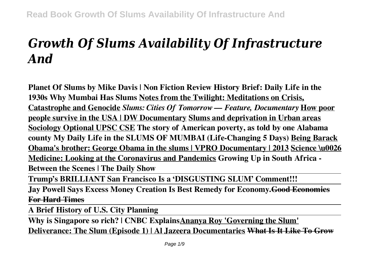# *Growth Of Slums Availability Of Infrastructure And*

**Planet Of Slums by Mike Davis | Non Fiction Review History Brief: Daily Life in the 1930s Why Mumbai Has Slums Notes from the Twilight: Meditations on Crisis, Catastrophe and Genocide** *Slums: Cities Of Tomorrow — Feature, Documentary* **How poor people survive in the USA | DW Documentary Slums and deprivation in Urban areas Sociology Optional UPSC CSE The story of American poverty, as told by one Alabama county My Daily Life in the SLUMS OF MUMBAI (Life-Changing 5 Days) Being Barack Obama's brother: George Obama in the slums | VPRO Documentary | 2013 Science \u0026 Medicine: Looking at the Coronavirus and Pandemics Growing Up in South Africa - Between the Scenes | The Daily Show**

**Trump's BRILLIANT San Francisco Is a 'DISGUSTING SLUM' Comment!!!**

**Jay Powell Says Excess Money Creation Is Best Remedy for Economy.Good Economics For Hard Times**

**A Brief History of U.S. City Planning**

**Why is Singapore so rich? | CNBC ExplainsAnanya Roy 'Governing the Slum' Deliverance: The Slum (Episode 1) | Al Jazeera Documentaries What Is It Like To Grow**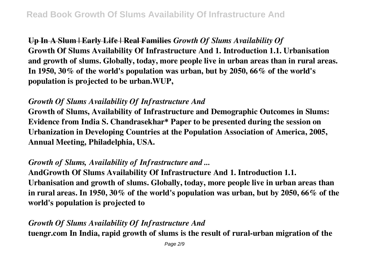**Up In A Slum | Early Life | Real Families** *Growth Of Slums Availability Of* **Growth Of Slums Availability Of Infrastructure And 1. Introduction 1.1. Urbanisation and growth of slums. Globally, today, more people live in urban areas than in rural areas. In 1950, 30% of the world's population was urban, but by 2050, 66% of the world's population is projected to be urban.WUP,**

# *Growth Of Slums Availability Of Infrastructure And*

**Growth of Slums, Availability of Infrastructure and Demographic Outcomes in Slums: Evidence from India S. Chandrasekhar\* Paper to be presented during the session on Urbanization in Developing Countries at the Population Association of America, 2005, Annual Meeting, Philadelphia, USA.**

# *Growth of Slums, Availability of Infrastructure and ...*

**AndGrowth Of Slums Availability Of Infrastructure And 1. Introduction 1.1. Urbanisation and growth of slums. Globally, today, more people live in urban areas than in rural areas. In 1950, 30% of the world's population was urban, but by 2050, 66% of the world's population is projected to**

## *Growth Of Slums Availability Of Infrastructure And*

**tuengr.com In India, rapid growth of slums is the result of rural-urban migration of the**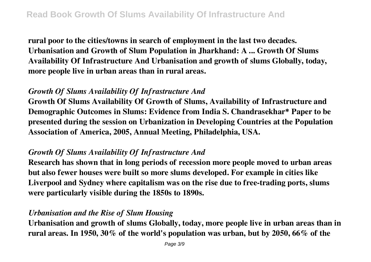**rural poor to the cities/towns in search of employment in the last two decades. Urbanisation and Growth of Slum Population in Jharkhand: A ... Growth Of Slums Availability Of Infrastructure And Urbanisation and growth of slums Globally, today, more people live in urban areas than in rural areas.**

# *Growth Of Slums Availability Of Infrastructure And*

**Growth Of Slums Availability Of Growth of Slums, Availability of Infrastructure and Demographic Outcomes in Slums: Evidence from India S. Chandrasekhar\* Paper to be presented during the session on Urbanization in Developing Countries at the Population Association of America, 2005, Annual Meeting, Philadelphia, USA.**

## *Growth Of Slums Availability Of Infrastructure And*

**Research has shown that in long periods of recession more people moved to urban areas but also fewer houses were built so more slums developed. For example in cities like Liverpool and Sydney where capitalism was on the rise due to free-trading ports, slums were particularly visible during the 1850s to 1890s.**

# *Urbanisation and the Rise of Slum Housing*

**Urbanisation and growth of slums Globally, today, more people live in urban areas than in rural areas. In 1950, 30% of the world's population was urban, but by 2050, 66% of the**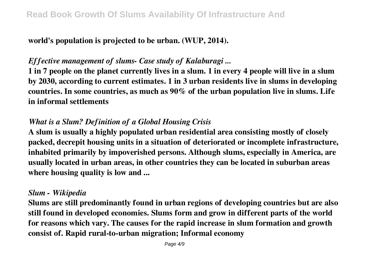**world's population is projected to be urban. (WUP, 2014).**

## *Effective management of slums- Case study of Kalaburagi ...*

**1 in 7 people on the planet currently lives in a slum. 1 in every 4 people will live in a slum by 2030, according to current estimates. 1 in 3 urban residents live in slums in developing countries. In some countries, as much as 90% of the urban population live in slums. Life in informal settlements**

## *What is a Slum? Definition of a Global Housing Crisis*

**A slum is usually a highly populated urban residential area consisting mostly of closely packed, decrepit housing units in a situation of deteriorated or incomplete infrastructure, inhabited primarily by impoverished persons. Although slums, especially in America, are usually located in urban areas, in other countries they can be located in suburban areas where housing quality is low and ...**

#### *Slum - Wikipedia*

**Slums are still predominantly found in urban regions of developing countries but are also still found in developed economies. Slums form and grow in different parts of the world for reasons which vary. The causes for the rapid increase in slum formation and growth consist of. Rapid rural-to-urban migration; Informal economy**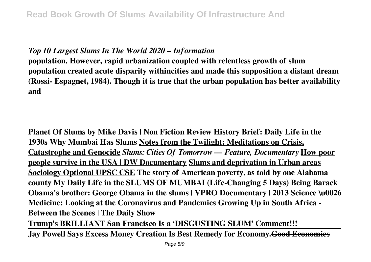## *Top 10 Largest Slums In The World 2020 – Information*

**population. However, rapid urbanization coupled with relentless growth of slum population created acute disparity withincities and made this supposition a distant dream (Rossi- Espagnet, 1984). Though it is true that the urban population has better availability and**

**Planet Of Slums by Mike Davis | Non Fiction Review History Brief: Daily Life in the 1930s Why Mumbai Has Slums Notes from the Twilight: Meditations on Crisis, Catastrophe and Genocide** *Slums: Cities Of Tomorrow — Feature, Documentary* **How poor people survive in the USA | DW Documentary Slums and deprivation in Urban areas Sociology Optional UPSC CSE The story of American poverty, as told by one Alabama county My Daily Life in the SLUMS OF MUMBAI (Life-Changing 5 Days) Being Barack Obama's brother: George Obama in the slums | VPRO Documentary | 2013 Science \u0026 Medicine: Looking at the Coronavirus and Pandemics Growing Up in South Africa - Between the Scenes | The Daily Show**

**Trump's BRILLIANT San Francisco Is a 'DISGUSTING SLUM' Comment!!!**

**Jay Powell Says Excess Money Creation Is Best Remedy for Economy.Good Economics**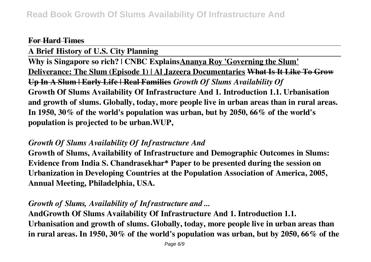#### **For Hard Times**

**A Brief History of U.S. City Planning Why is Singapore so rich? | CNBC ExplainsAnanya Roy 'Governing the Slum' Deliverance: The Slum (Episode 1) | Al Jazeera Documentaries What Is It Like To Grow Up In A Slum | Early Life | Real Families** *Growth Of Slums Availability Of* **Growth Of Slums Availability Of Infrastructure And 1. Introduction 1.1. Urbanisation and growth of slums. Globally, today, more people live in urban areas than in rural areas. In 1950, 30% of the world's population was urban, but by 2050, 66% of the world's population is projected to be urban.WUP,**

#### *Growth Of Slums Availability Of Infrastructure And*

**Growth of Slums, Availability of Infrastructure and Demographic Outcomes in Slums: Evidence from India S. Chandrasekhar\* Paper to be presented during the session on Urbanization in Developing Countries at the Population Association of America, 2005, Annual Meeting, Philadelphia, USA.**

#### *Growth of Slums, Availability of Infrastructure and ...*

**AndGrowth Of Slums Availability Of Infrastructure And 1. Introduction 1.1. Urbanisation and growth of slums. Globally, today, more people live in urban areas than in rural areas. In 1950, 30% of the world's population was urban, but by 2050, 66% of the**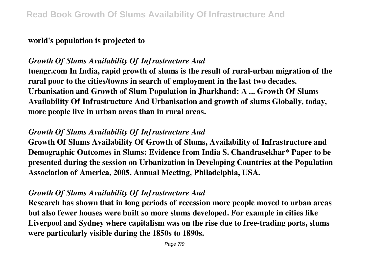## **world's population is projected to**

# *Growth Of Slums Availability Of Infrastructure And*

**tuengr.com In India, rapid growth of slums is the result of rural-urban migration of the rural poor to the cities/towns in search of employment in the last two decades. Urbanisation and Growth of Slum Population in Jharkhand: A ... Growth Of Slums Availability Of Infrastructure And Urbanisation and growth of slums Globally, today, more people live in urban areas than in rural areas.**

# *Growth Of Slums Availability Of Infrastructure And*

**Growth Of Slums Availability Of Growth of Slums, Availability of Infrastructure and Demographic Outcomes in Slums: Evidence from India S. Chandrasekhar\* Paper to be presented during the session on Urbanization in Developing Countries at the Population Association of America, 2005, Annual Meeting, Philadelphia, USA.**

## *Growth Of Slums Availability Of Infrastructure And*

**Research has shown that in long periods of recession more people moved to urban areas but also fewer houses were built so more slums developed. For example in cities like Liverpool and Sydney where capitalism was on the rise due to free-trading ports, slums were particularly visible during the 1850s to 1890s.**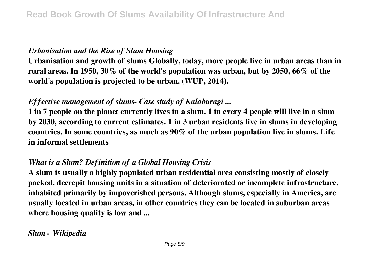## *Urbanisation and the Rise of Slum Housing*

**Urbanisation and growth of slums Globally, today, more people live in urban areas than in rural areas. In 1950, 30% of the world's population was urban, but by 2050, 66% of the world's population is projected to be urban. (WUP, 2014).**

# *Effective management of slums- Case study of Kalaburagi ...*

**1 in 7 people on the planet currently lives in a slum. 1 in every 4 people will live in a slum by 2030, according to current estimates. 1 in 3 urban residents live in slums in developing countries. In some countries, as much as 90% of the urban population live in slums. Life in informal settlements**

## *What is a Slum? Definition of a Global Housing Crisis*

**A slum is usually a highly populated urban residential area consisting mostly of closely packed, decrepit housing units in a situation of deteriorated or incomplete infrastructure, inhabited primarily by impoverished persons. Although slums, especially in America, are usually located in urban areas, in other countries they can be located in suburban areas where housing quality is low and ...**

*Slum - Wikipedia*